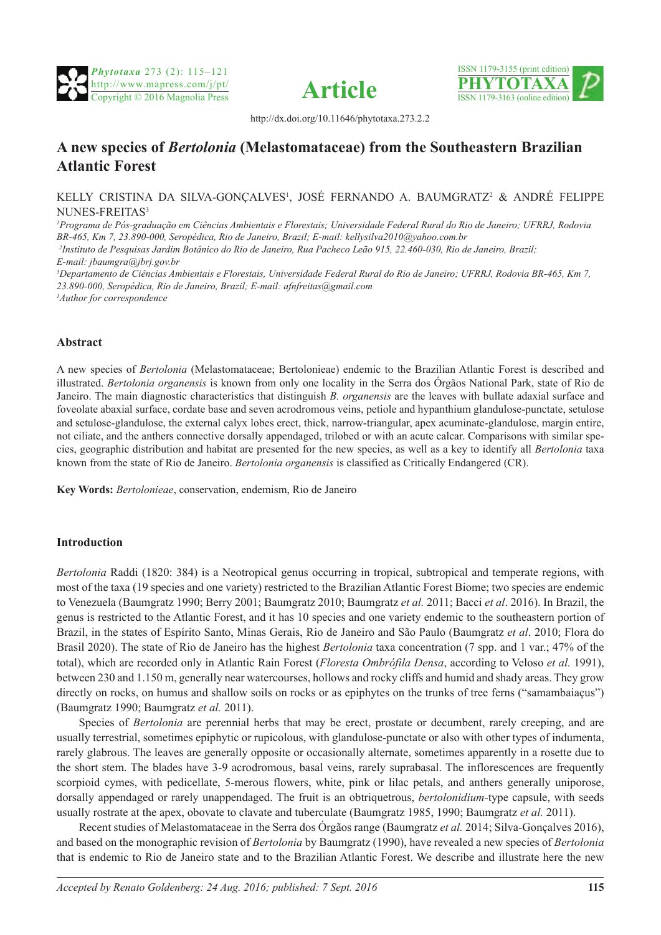





http://dx.doi.org/10.11646/phytotaxa.273.2.2

# **A new species of** *Bertolonia* **(Melastomataceae) from the Southeastern Brazilian Atlantic Forest**

## KELLY CRISTINA DA SILVA-GONÇALVES1 , JOSÉ FERNANDO A. BAUMGRATZ2 & ANDRÉ FELIPPE NUNES-FREITAS3

*1 Programa de Pós-graduação em Ciências Ambientais e Florestais; Universidade Federal Rural do Rio de Janeiro; UFRRJ, Rodovia BR-465, Km 7, 23.890-000, Seropédica, Rio de Janeiro, Brazil; E-mail: kellysilva2010@yahoo.com.br 2 Instituto de Pesquisas Jardim Botânico do Rio de Janeiro, Rua Pacheco Leão 915, 22.460-030, Rio de Janeiro, Brazil;* 

*E-mail: jbaumgra@jbrj.gov.br*

*3 Departamento de Ciências Ambientais e Florestais, Universidade Federal Rural do Rio de Janeiro; UFRRJ, Rodovia BR-465, Km 7, 23.890-000, Seropédica, Rio de Janeiro, Brazil; E-mail: afnfreitas@gmail.com 1 Author for correspondence*

# **Abstract**

A new species of *Bertolonia* (Melastomataceae; Bertolonieae) endemic to the Brazilian Atlantic Forest is described and illustrated. *Bertolonia organensis* is known from only one locality in the Serra dos Órgãos National Park, state of Rio de Janeiro. The main diagnostic characteristics that distinguish *B. organensis* are the leaves with bullate adaxial surface and foveolate abaxial surface, cordate base and seven acrodromous veins, petiole and hypanthium glandulose-punctate, setulose and setulose-glandulose, the external calyx lobes erect, thick, narrow-triangular, apex acuminate-glandulose, margin entire, not ciliate, and the anthers connective dorsally appendaged, trilobed or with an acute calcar. Comparisons with similar species, geographic distribution and habitat are presented for the new species, as well as a key to identify all *Bertolonia* taxa known from the state of Rio de Janeiro. *Bertolonia organensis* is classified as Critically Endangered (CR).

**Key Words:** *Bertolonieae*, conservation, endemism, Rio de Janeiro

# **Introduction**

*Bertolonia* Raddi (1820: 384) is a Neotropical genus occurring in tropical, subtropical and temperate regions, with most of the taxa (19 species and one variety) restricted to the Brazilian Atlantic Forest Biome; two species are endemic to Venezuela (Baumgratz 1990; Berry 2001; Baumgratz 2010; Baumgratz *et al.* 2011; Bacci *et al*. 2016). In Brazil, the genus is restricted to the Atlantic Forest, and it has 10 species and one variety endemic to the southeastern portion of Brazil, in the states of Espírito Santo, Minas Gerais, Rio de Janeiro and São Paulo (Baumgratz *et al*. 2010; Flora do Brasil 2020). The state of Rio de Janeiro has the highest *Bertolonia* taxa concentration (7 spp. and 1 var.; 47% of the total), which are recorded only in Atlantic Rain Forest (*Floresta Ombrófila Densa*, according to Veloso *et al.* 1991), between 230 and 1.150 m, generally near watercourses, hollows and rocky cliffs and humid and shady areas. They grow directly on rocks, on humus and shallow soils on rocks or as epiphytes on the trunks of tree ferns ("samambaiacus") (Baumgratz 1990; Baumgratz *et al.* 2011).

Species of *Bertolonia* are perennial herbs that may be erect, prostate or decumbent, rarely creeping, and are usually terrestrial, sometimes epiphytic or rupicolous, with glandulose-punctate or also with other types of indumenta, rarely glabrous. The leaves are generally opposite or occasionally alternate, sometimes apparently in a rosette due to the short stem. The blades have 3-9 acrodromous, basal veins, rarely suprabasal. The inflorescences are frequently scorpioid cymes, with pedicellate, 5-merous flowers, white, pink or lilac petals, and anthers generally uniporose, dorsally appendaged or rarely unappendaged. The fruit is an obtriquetrous, *bertolonidium-*type capsule, with seeds usually rostrate at the apex, obovate to clavate and tuberculate (Baumgratz 1985, 1990; Baumgratz *et al.* 2011).

Recent studies of Melastomataceae in the Serra dos Órgãos range (Baumgratz *et al.* 2014; Silva-Gonçalves 2016), and based on the monographic revision of *Bertolonia* by Baumgratz (1990), have revealed a new species of *Bertolonia* that is endemic to Rio de Janeiro state and to the Brazilian Atlantic Forest. We describe and illustrate here the new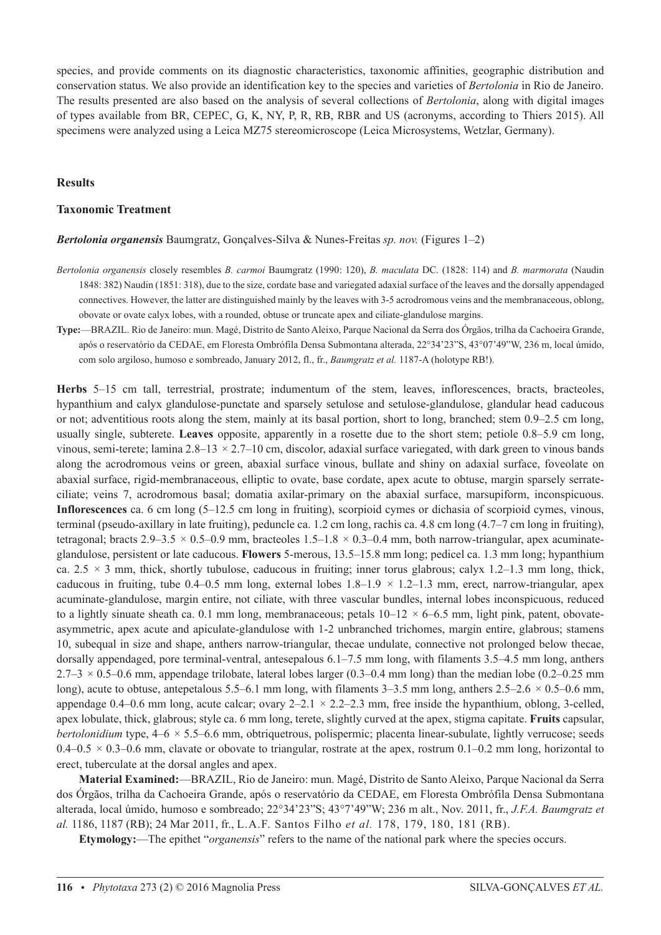species, and provide comments on its diagnostic characteristics, taxonomic affinities, geographic distribution and conservation status. We also provide an identification key to the species and varieties of *Bertolonia* in Rio de Janeiro. The results presented are also based on the analysis of several collections of *Bertolonia*, along with digital images of types available from BR, CEPEC, G, K, NY, P, R, RB, RBR and US (acronyms, according to Thiers 2015). All specimens were analyzed using a Leica MZ75 stereomicroscope (Leica Microsystems, Wetzlar, Germany).

## **Results**

### **Taxonomic Treatment**

*Bertolonia organensis* Baumgratz, Gonçalves-Silva & Nunes-Freitas *sp. nov.* (Figures 1–2)

- *Bertolonia organensis* closely resembles *B. carmoi* Baumgratz (1990: 120), *B. maculata* DC. (1828: 114) and *B. marmorata* (Naudin 1848: 382) Naudin (1851: 318), due to the size, cordate base and variegated adaxial surface of the leaves and the dorsally appendaged connectives. However, the latter are distinguished mainly by the leaves with 3-5 acrodromous veins and the membranaceous, oblong, obovate or ovate calyx lobes, with a rounded, obtuse or truncate apex and ciliate-glandulose margins.
- **Type:**—BRAZIL. Rio de Janeiro: mun. Magé, Distrito de Santo Aleixo, Parque Nacional da Serra dos Órgãos, trilha da Cachoeira Grande, após o reservatório da CEDAE, em Floresta Ombrófila Densa Submontana alterada, 22°34'23"S, 43°07'49"W, 236 m, local úmido, com solo argiloso, humoso e sombreado, January 2012, fl., fr., *Baumgratz et al.* 1187-A (holotype RB!).

**Herbs** 5–15 cm tall, terrestrial, prostrate; indumentum of the stem, leaves, inflorescences, bracts, bracteoles, hypanthium and calyx glandulose-punctate and sparsely setulose and setulose-glandulose, glandular head caducous or not; adventitious roots along the stem, mainly at its basal portion, short to long, branched; stem 0.9–2.5 cm long, usually single, subterete. **Leaves** opposite, apparently in a rosette due to the short stem; petiole 0.8–5.9 cm long, vinous, semi-terete; lamina 2.8–13 *×* 2.7–10 cm, discolor, adaxial surface variegated, with dark green to vinous bands along the acrodromous veins or green, abaxial surface vinous, bullate and shiny on adaxial surface, foveolate on abaxial surface, rigid-membranaceous, elliptic to ovate, base cordate, apex acute to obtuse, margin sparsely serrateciliate; veins 7, acrodromous basal; domatia axilar-primary on the abaxial surface, marsupiform, inconspicuous. **Inflorescences** ca. 6 cm long (5–12.5 cm long in fruiting), scorpioid cymes or dichasia of scorpioid cymes, vinous, terminal (pseudo-axillary in late fruiting), peduncle ca. 1.2 cm long, rachis ca. 4.8 cm long (4.7–7 cm long in fruiting), tetragonal; bracts 2.9–3.5 *×* 0.5–0.9 mm, bracteoles 1.5–1.8 *×* 0.3–0.4 mm, both narrow-triangular, apex acuminateglandulose, persistent or late caducous. **Flowers** 5-merous, 13.5–15.8 mm long; pedicel ca. 1.3 mm long; hypanthium ca.  $2.5 \times 3$  mm, thick, shortly tubulose, caducous in fruiting; inner torus glabrous; calyx 1.2–1.3 mm long, thick, caducous in fruiting, tube  $0.4-0.5$  mm long, external lobes  $1.8-1.9 \times 1.2-1.3$  mm, erect, narrow-triangular, apex acuminate-glandulose, margin entire, not ciliate, with three vascular bundles, internal lobes inconspicuous, reduced to a lightly sinuate sheath ca. 0.1 mm long, membranaceous; petals 10–12 *×* 6–6.5 mm, light pink, patent, obovateasymmetric, apex acute and apiculate-glandulose with 1-2 unbranched trichomes, margin entire, glabrous; stamens 10, subequal in size and shape, anthers narrow-triangular, thecae undulate, connective not prolonged below thecae, dorsally appendaged, pore terminal-ventral, antesepalous 6.1–7.5 mm long, with filaments 3.5–4.5 mm long, anthers  $2.7-3 \times 0.5-0.6$  mm, appendage trilobate, lateral lobes larger  $(0.3-0.4$  mm long) than the median lobe  $(0.2-0.25$  mm long), acute to obtuse, antepetalous 5.5–6.1 mm long, with filaments 3–3.5 mm long, anthers 2.5–2.6 *×* 0.5–0.6 mm, appendage 0.4–0.6 mm long, acute calcar; ovary 2–2.1 *×* 2.2–2.3 mm, free inside the hypanthium, oblong, 3-celled, apex lobulate, thick, glabrous; style ca. 6 mm long, terete, slightly curved at the apex, stigma capitate. **Fruits** capsular, *bertolonidium* type,  $4-6 \times 5.5-6.6$  mm, obtriquetrous, polispermic; placenta linear-subulate, lightly verrucose; seeds 0.4–0.5  $\times$  0.3–0.6 mm, clavate or obovate to triangular, rostrate at the apex, rostrum 0.1–0.2 mm long, horizontal to erect, tuberculate at the dorsal angles and apex.

**Material Examined:**—BRAZIL, Rio de Janeiro: mun. Magé, Distrito de Santo Aleixo, Parque Nacional da Serra dos Órgãos, trilha da Cachoeira Grande, após o reservatório da CEDAE, em Floresta Ombrófila Densa Submontana alterada, local úmido, humoso e sombreado; 22°34'23"S; 43°7'49"W; 236 m alt., Nov. 2011, fr., *J.F.A. Baumgratz et al.* 1186, 1187 (RB); 24 Mar 2011, fr., L.A.F. Santos Filho *et al.* 178, 179, 180, 181 (RB).

**Etymology:**—The epithet "*organensis*" refers to the name of the national park where the species occurs.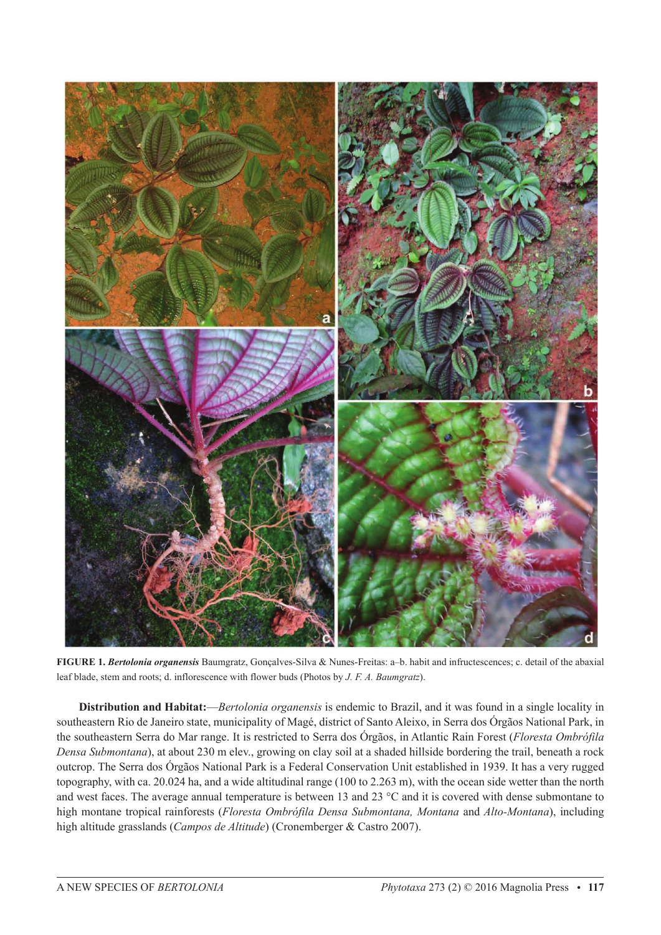

**FIGURE 1.** *Bertolonia organensis* Baumgratz, Gonçalves-Silva & Nunes-Freitas: a–b. habit and infructescences; c. detail of the abaxial leaf blade, stem and roots; d. inflorescence with flower buds (Photos by *J. F. A. Baumgratz*).

**Distribution and Habitat:**—*Bertolonia organensis* is endemic to Brazil, and it was found in a single locality in southeastern Rio de Janeiro state, municipality of Magé, district of Santo Aleixo, in Serra dos Órgãos National Park, in the southeastern Serra do Mar range. It is restricted to Serra dos Órgãos, in Atlantic Rain Forest (*Floresta Ombrófila Densa Submontana*), at about 230 m elev., growing on clay soil at a shaded hillside bordering the trail, beneath a rock outcrop. The Serra dos Órgãos National Park is a Federal Conservation Unit established in 1939. It has a very rugged topography, with ca. 20.024 ha, and a wide altitudinal range (100 to 2.263 m), with the ocean side wetter than the north and west faces. The average annual temperature is between 13 and 23 °C and it is covered with dense submontane to high montane tropical rainforests (*Floresta Ombrófila Densa Submontana, Montana* and *Alto-Montana*), including high altitude grasslands (*Campos de Altitude*) (Cronemberger & Castro 2007).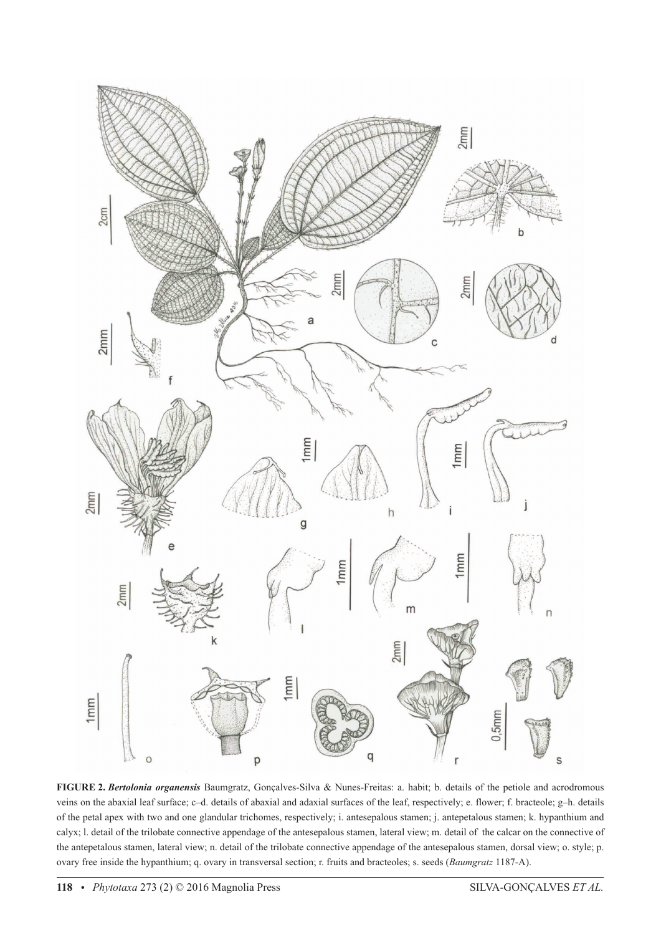

**FIGURE 2.** *Bertolonia organensis* Baumgratz, Gonçalves-Silva & Nunes-Freitas: a. habit; b. details of the petiole and acrodromous veins on the abaxial leaf surface; c–d. details of abaxial and adaxial surfaces of the leaf, respectively; e. flower; f. bracteole; g–h. details of the petal apex with two and one glandular trichomes, respectively; i. antesepalous stamen; j. antepetalous stamen; k. hypanthium and calyx; l. detail of the trilobate connective appendage of the antesepalous stamen, lateral view; m. detail of the calcar on the connective of the antepetalous stamen, lateral view; n. detail of the trilobate connective appendage of the antesepalous stamen, dorsal view; o. style; p. ovary free inside the hypanthium; q. ovary in transversal section; r. fruits and bracteoles; s. seeds (*Baumgratz* 1187-A).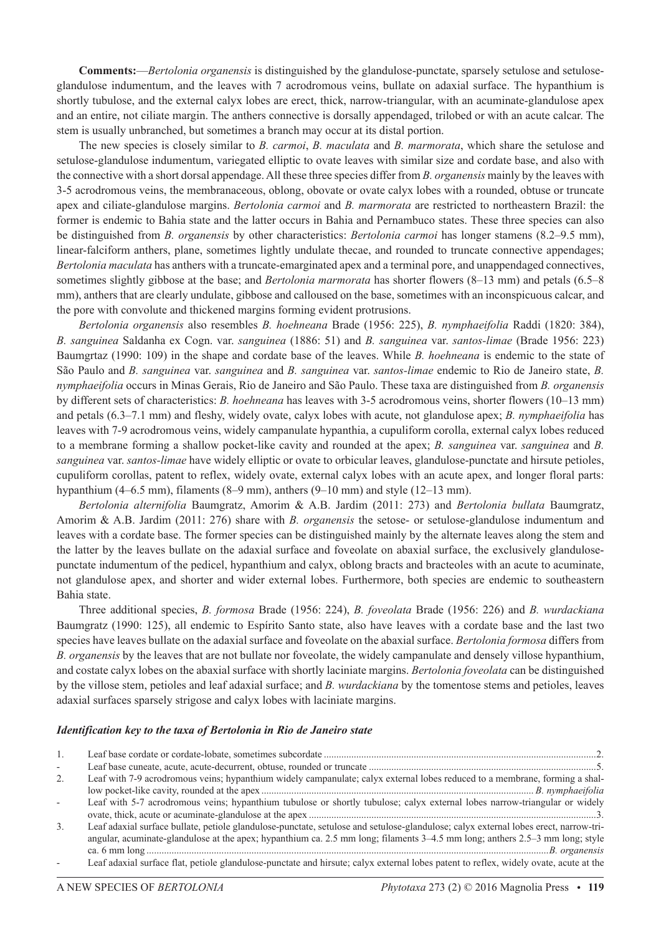**Comments:**—*Bertolonia organensis* is distinguished by the glandulose-punctate, sparsely setulose and setuloseglandulose indumentum, and the leaves with 7 acrodromous veins, bullate on adaxial surface. The hypanthium is shortly tubulose, and the external calyx lobes are erect, thick, narrow-triangular, with an acuminate-glandulose apex and an entire, not ciliate margin. The anthers connective is dorsally appendaged, trilobed or with an acute calcar. The stem is usually unbranched, but sometimes a branch may occur at its distal portion.

The new species is closely similar to *B. carmoi*, *B. maculata* and *B. marmorata*, which share the setulose and setulose-glandulose indumentum, variegated elliptic to ovate leaves with similar size and cordate base, and also with the connective with a short dorsal appendage. All these three species differ from *B. organensis* mainly by the leaves with 3-5 acrodromous veins, the membranaceous, oblong, obovate or ovate calyx lobes with a rounded, obtuse or truncate apex and ciliate-glandulose margins. *Bertolonia carmoi* and *B. marmorata* are restricted to northeastern Brazil: the former is endemic to Bahia state and the latter occurs in Bahia and Pernambuco states. These three species can also be distinguished from *B. organensis* by other characteristics: *Bertolonia carmoi* has longer stamens (8.2–9.5 mm), linear-falciform anthers, plane, sometimes lightly undulate thecae, and rounded to truncate connective appendages; *Bertolonia maculata* has anthers with a truncate-emarginated apex and a terminal pore, and unappendaged connectives, sometimes slightly gibbose at the base; and *Bertolonia marmorata* has shorter flowers (8–13 mm) and petals (6.5–8 mm), anthers that are clearly undulate, gibbose and calloused on the base, sometimes with an inconspicuous calcar, and the pore with convolute and thickened margins forming evident protrusions.

*Bertolonia organensis* also resembles *B. hoehneana* Brade (1956: 225), *B. nymphaeifolia* Raddi (1820: 384), *B. sanguinea* Saldanha ex Cogn. var. *sanguinea* (1886: 51) and *B. sanguinea* var. *santos-limae* (Brade 1956: 223) Baumgrtaz (1990: 109) in the shape and cordate base of the leaves. While *B. hoehneana* is endemic to the state of São Paulo and *B. sanguinea* var. *sanguinea* and *B. sanguinea* var. *santos-limae* endemic to Rio de Janeiro state, *B. nymphaeifolia* occurs in Minas Gerais, Rio de Janeiro and São Paulo. These taxa are distinguished from *B. organensis* by different sets of characteristics: *B. hoehneana* has leaves with 3-5 acrodromous veins, shorter flowers (10–13 mm) and petals (6.3–7.1 mm) and fleshy, widely ovate, calyx lobes with acute, not glandulose apex; *B. nymphaeifolia* has leaves with 7-9 acrodromous veins, widely campanulate hypanthia, a cupuliform corolla, external calyx lobes reduced to a membrane forming a shallow pocket-like cavity and rounded at the apex; *B. sanguinea* var. *sanguinea* and *B. sanguinea* var. *santos-limae* have widely elliptic or ovate to orbicular leaves, glandulose-punctate and hirsute petioles, cupuliform corollas, patent to reflex, widely ovate, external calyx lobes with an acute apex, and longer floral parts: hypanthium (4–6.5 mm), filaments (8–9 mm), anthers (9–10 mm) and style (12–13 mm).

*Bertolonia alternifolia* Baumgratz, Amorim & A.B. Jardim (2011: 273) and *Bertolonia bullata* Baumgratz, Amorim & A.B. Jardim (2011: 276) share with *B. organensis* the setose- or setulose-glandulose indumentum and leaves with a cordate base. The former species can be distinguished mainly by the alternate leaves along the stem and the latter by the leaves bullate on the adaxial surface and foveolate on abaxial surface, the exclusively glandulosepunctate indumentum of the pedicel, hypanthium and calyx, oblong bracts and bracteoles with an acute to acuminate, not glandulose apex, and shorter and wider external lobes. Furthermore, both species are endemic to southeastern Bahia state.

Three additional species, *B. formosa* Brade (1956: 224), *B. foveolata* Brade (1956: 226) and *B. wurdackiana* Baumgratz (1990: 125), all endemic to Espírito Santo state, also have leaves with a cordate base and the last two species have leaves bullate on the adaxial surface and foveolate on the abaxial surface. *Bertolonia formosa* differs from *B. organensis* by the leaves that are not bullate nor foveolate, the widely campanulate and densely villose hypanthium, and costate calyx lobes on the abaxial surface with shortly laciniate margins. *Bertolonia foveolata* can be distinguished by the villose stem, petioles and leaf adaxial surface; and *B. wurdackiana* by the tomentose stems and petioles, leaves adaxial surfaces sparsely strigose and calyx lobes with laciniate margins.

### *Identification key to the taxa of Bertolonia in Rio de Janeiro state*

| 1. |                                                                                                                                       |
|----|---------------------------------------------------------------------------------------------------------------------------------------|
|    |                                                                                                                                       |
|    |                                                                                                                                       |
| 2. | Leaf with 7-9 acrodromous veins; hypanthium widely campanulate; calyx external lobes reduced to a membrane, forming a shal-           |
|    |                                                                                                                                       |
|    | Leaf with 5-7 acrodromous veins; hypanthium tubulose or shortly tubulose; calyx external lobes narrow-triangular or widely            |
|    |                                                                                                                                       |
| 3. | Leaf adaxial surface bullate, petiole glandulose-punctate, setulose and setulose-glandulose; calyx external lobes erect, narrow-tri-  |
|    | angular, acuminate-glandulose at the apex; hypanthium ca. 2.5 mm long; filaments 3–4.5 mm long; anthers 2.5–3 mm long; style          |
|    |                                                                                                                                       |
|    | Leaf adaxial surface flat, petiole glandulose-punctate and hirsute; calyx external lobes patent to reflex, widely ovate, acute at the |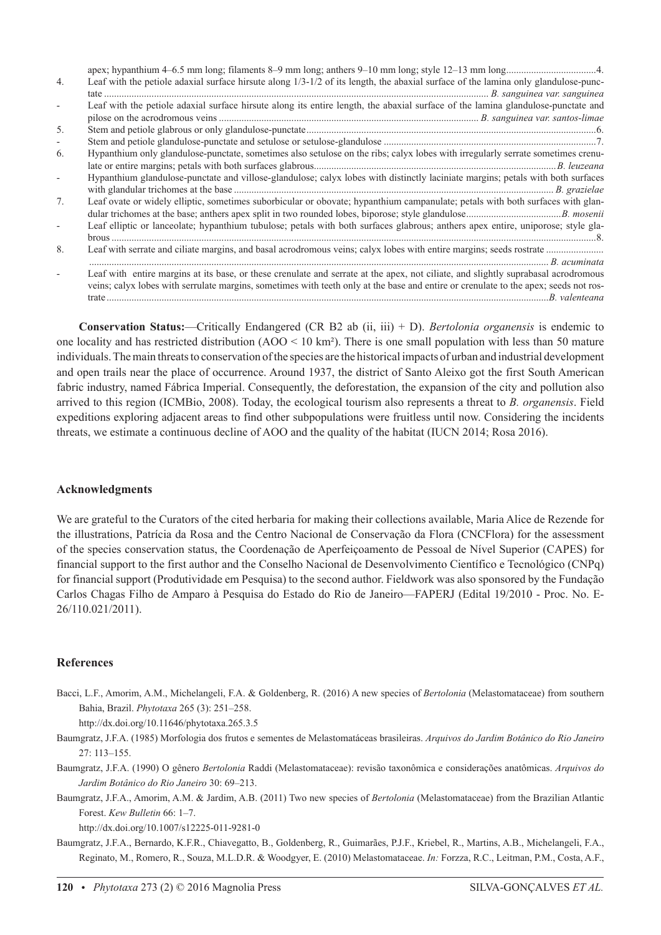| 4.                       | Leaf with the petiole adaxial surface hirsute along $1/3$ -1/2 of its length, the abaxial surface of the lamina only glandulose-punc-                                                                                                                                      |
|--------------------------|----------------------------------------------------------------------------------------------------------------------------------------------------------------------------------------------------------------------------------------------------------------------------|
|                          | Leaf with the petiole adaxial surface hirsute along its entire length, the abaxial surface of the lamina glandulose-punctate and                                                                                                                                           |
|                          |                                                                                                                                                                                                                                                                            |
| 5.                       |                                                                                                                                                                                                                                                                            |
| $\overline{\phantom{a}}$ |                                                                                                                                                                                                                                                                            |
| 6.                       | Hypanthium only glandulose-punctate, sometimes also setulose on the ribs; calyx lobes with irregularly serrate sometimes crenu-                                                                                                                                            |
|                          | Hypanthium glandulose-punctate and villose-glandulose; calyx lobes with distinctly laciniate margins; petals with both surfaces                                                                                                                                            |
| 7 <sub>1</sub>           | Leaf ovate or widely elliptic, sometimes suborbicular or obovate; hypanthium campanulate; petals with both surfaces with glan-                                                                                                                                             |
|                          | Leaf elliptic or lanceolate; hypanthium tubulose; petals with both surfaces glabrous; anthers apex entire, uniporose; style gla-                                                                                                                                           |
| 8.                       |                                                                                                                                                                                                                                                                            |
|                          | Leaf with entire margins at its base, or these crenulate and serrate at the apex, not ciliate, and slightly suprabasal acrodromous<br>veins; calyx lobes with serrulate margins, sometimes with teeth only at the base and entire or crenulate to the apex; seeds not ros- |

**Conservation Status:**—Critically Endangered (CR B2 ab (ii, iii) + D). *Bertolonia organensis* is endemic to one locality and has restricted distribution (AOO < 10 km²). There is one small population with less than 50 mature individuals. The main threats to conservation of the species are the historical impacts of urban and industrial development and open trails near the place of occurrence. Around 1937, the district of Santo Aleixo got the first South American fabric industry, named Fábrica Imperial. Consequently, the deforestation, the expansion of the city and pollution also arrived to this region (ICMBio, 2008). Today, the ecological tourism also represents a threat to *B. organensis*. Field expeditions exploring adjacent areas to find other subpopulations were fruitless until now. Considering the incidents threats, we estimate a continuous decline of AOO and the quality of the habitat (IUCN 2014; Rosa 2016).

# **Acknowledgments**

We are grateful to the Curators of the cited herbaria for making their collections available, Maria Alice de Rezende for the illustrations, Patrícia da Rosa and the Centro Nacional de Conservação da Flora (CNCFlora) for the assessment of the species conservation status, the Coordenação de Aperfeiçoamento de Pessoal de Nível Superior (CAPES) for financial support to the first author and the Conselho Nacional de Desenvolvimento Científico e Tecnológico (CNPq) for financial support (Produtividade em Pesquisa) to the second author. Fieldwork was also sponsored by the Fundação Carlos Chagas Filho de Amparo à Pesquisa do Estado do Rio de Janeiro—FAPERJ (Edital 19/2010 - Proc. No. E-26/110.021/2011).

# **References**

Bacci, L.F., Amorim, A.M., Michelangeli, F.A. & Goldenberg, R. (2016) A new species of *Bertolonia* (Melastomataceae) from southern Bahia, Brazil. *Phytotaxa* 265 (3): 251–258.

http://dx.doi.org/10.11646/phytotaxa.265.3.5

- Baumgratz, J.F.A. (1985) Morfologia dos frutos e sementes de Melastomatáceas brasileiras. *Arquivos do Jardim Botânico do Rio Janeiro*  $27 \cdot 113 - 155$
- Baumgratz, J.F.A. (1990) O gênero *Bertolonia* Raddi (Melastomataceae): revisão taxonômica e considerações anatômicas. *Arquivos do Jardim Botânico do Rio Janeiro* 30: 69–213.
- Baumgratz, J.F.A., Amorim, A.M. & Jardim, A.B. (2011) Two new species of *Bertolonia* (Melastomataceae) from the Brazilian Atlantic Forest. *Kew Bulletin* 66: 1–7.

http://dx.doi.org/10.1007/s12225-011-9281-0

Baumgratz, J.F.A., Bernardo, K.F.R., Chiavegatto, B., Goldenberg, R., Guimarães, P.J.F., Kriebel, R., Martins, A.B., Michelangeli, F.A., Reginato, M., Romero, R., Souza, M.L.D.R. & Woodgyer, E. (2010) Melastomataceae. *In:* Forzza, R.C., Leitman, P.M., Costa, A.F.,